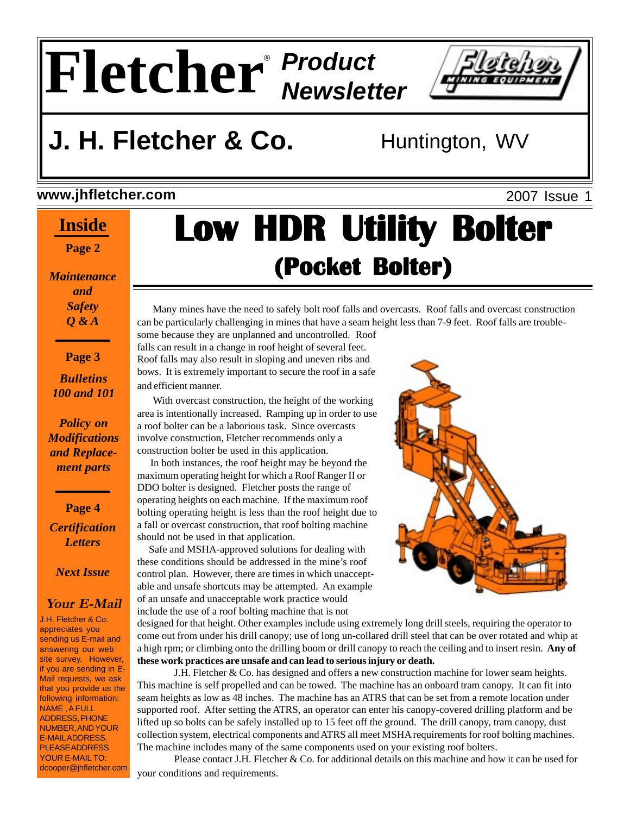# **Fletcher** *Product Newsletter* ®



# **J. H. Fletcher & Co.** Huntington, WV

#### **www.jhfletcher.com**

#### **Inside**

**Page 2**

*Maintenance and Safety Q & A*

**Page 3**

#### *Bulletins 100 and 101*

*Policy on Modifications and Replacement parts*

**Page 4** *Certification Letters*

*Next Issue*

#### **Your E-Mail**

J.H. Fletcher & Co. appreciates you sending us E-mail and answering our web site survey. However, if you are sending in E-Mail requests, we ask that you provide us the following information: NAME , A FULL ADDRESS, PHONE NUMBER, AND YOUR E-MAIL ADDRESS. PLEASE ADDRESS YOUR E-MAIL TO: dcooper@jhfletcher.com

## 2007 Issue 1 **Low HDR Utility Bolter Low HDR Utility Bolter Low HDR Utility Bolter (Pocket Bolter) Bolter)(Pocket Bolter)**

 Many mines have the need to safely bolt roof falls and overcasts. Roof falls and overcast construction can be particularly challenging in mines that have a seam height less than 7-9 feet. Roof falls are trouble-

some because they are unplanned and uncontrolled. Roof falls can result in a change in roof height of several feet. Roof falls may also result in sloping and uneven ribs and bows. It is extremely important to secure the roof in a safe and efficient manner.

 With overcast construction, the height of the working area is intentionally increased. Ramping up in order to use a roof bolter can be a laborious task. Since overcasts involve construction, Fletcher recommends only a construction bolter be used in this application.

 In both instances, the roof height may be beyond the maximum operating height for which a Roof Ranger II or DDO bolter is designed. Fletcher posts the range of operating heights on each machine. If the maximum roof bolting operating height is less than the roof height due to a fall or overcast construction, that roof bolting machine should not be used in that application.

 Safe and MSHA-approved solutions for dealing with these conditions should be addressed in the mine's roof control plan. However, there are times in which unacceptable and unsafe shortcuts may be attempted. An example of an unsafe and unacceptable work practice would include the use of a roof bolting machine that is not



designed for that height. Other examples include using extremely long drill steels, requiring the operator to come out from under his drill canopy; use of long un-collared drill steel that can be over rotated and whip at a high rpm; or climbing onto the drilling boom or drill canopy to reach the ceiling and to insert resin. **Any of these work practices are unsafe and can lead to serious injury or death.**

J.H. Fletcher & Co. has designed and offers a new construction machine for lower seam heights. This machine is self propelled and can be towed. The machine has an onboard tram canopy. It can fit into seam heights as low as 48 inches. The machine has an ATRS that can be set from a remote location under supported roof. After setting the ATRS, an operator can enter his canopy-covered drilling platform and be lifted up so bolts can be safely installed up to 15 feet off the ground. The drill canopy, tram canopy, dust collection system, electrical components and ATRS all meet MSHA requirements for roof bolting machines. The machine includes many of the same components used on your existing roof bolters.

Please contact J.H. Fletcher & Co. for additional details on this machine and how it can be used for your conditions and requirements.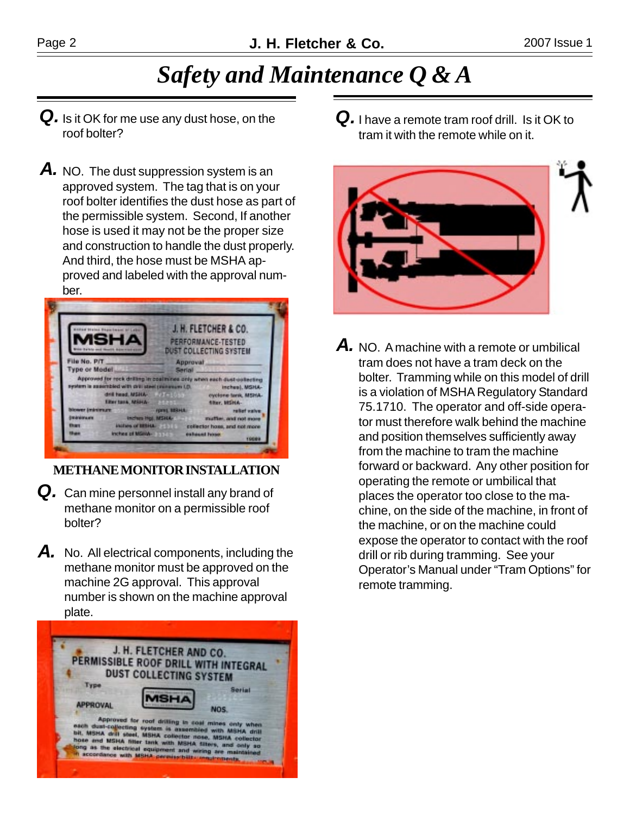### *Safety and Maintenance Q & A*

- *Q.* Is it OK for me use any dust hose, on the roof bolter?
- *A.* NO. The dust suppression system is an approved system. The tag that is on your roof bolter identifies the dust hose as part of the permissible system. Second, If another hose is used it may not be the proper size and construction to handle the dust properly. And third, the hose must be MSHA approved and labeled with the approval number.



**METHANE MONITOR INSTALLATION**

- Q. Can mine personnel install any brand of methane monitor on a permissible roof bolter?
- A. No. All electrical components, including the methane monitor must be approved on the machine 2G approval. This approval number is shown on the machine approval plate.



*Q.* I have a remote tram roof drill. Is it OK to tram it with the remote while on it.



*A.* NO. A machine with a remote or umbilical tram does not have a tram deck on the bolter. Tramming while on this model of drill is a violation of MSHA Regulatory Standard 75.1710. The operator and off-side operator must therefore walk behind the machine and position themselves sufficiently away from the machine to tram the machine forward or backward. Any other position for operating the remote or umbilical that places the operator too close to the machine, on the side of the machine, in front of the machine, or on the machine could expose the operator to contact with the roof drill or rib during tramming. See your Operator's Manual under "Tram Options" for remote tramming.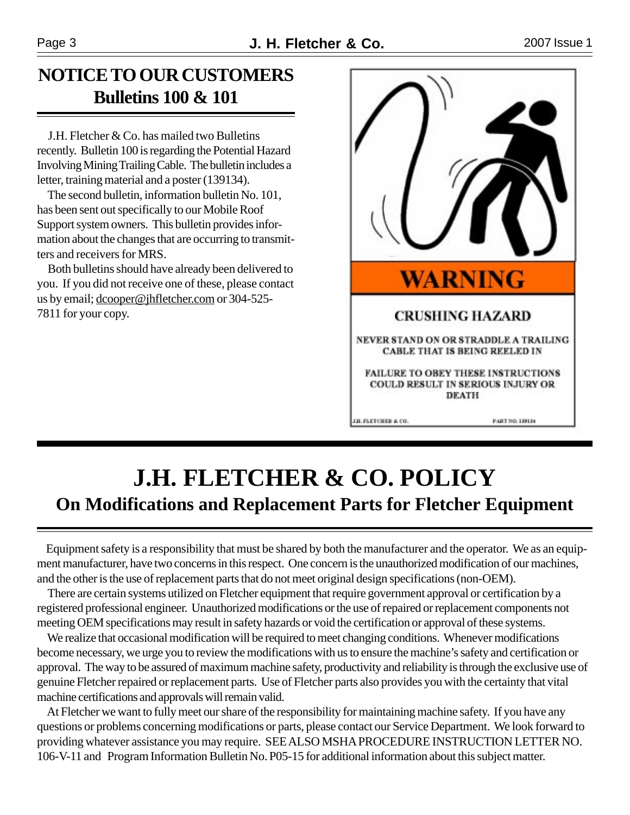### **NOTICE TO OUR CUSTOMERS Bulletins 100 & 101**

 J.H. Fletcher & Co. has mailed two Bulletins recently. Bulletin 100 is regarding the Potential Hazard Involving Mining Trailing Cable. The bulletin includes a letter, training material and a poster (139134).

 The second bulletin, information bulletin No. 101, has been sent out specifically to our Mobile Roof Support system owners. This bulletin provides information about the changes that are occurring to transmitters and receivers for MRS.

 Both bulletins should have already been delivered to you. If you did not receive one of these, please contact us by email; dcooper@jhfletcher.com or 304-525- 7811 for your copy.



### **J.H. FLETCHER & CO. POLICY On Modifications and Replacement Parts for Fletcher Equipment**

 Equipment safety is a responsibility that must be shared by both the manufacturer and the operator. We as an equipment manufacturer, have two concerns in this respect. One concern is the unauthorized modification of our machines, and the other is the use of replacement parts that do not meet original design specifications (non-OEM).

 There are certain systems utilized on Fletcher equipment that require government approval or certification by a registered professional engineer. Unauthorized modifications or the use of repaired or replacement components not meeting OEM specifications may result in safety hazards or void the certification or approval of these systems.

We realize that occasional modification will be required to meet changing conditions. Whenever modifications become necessary, we urge you to review the modifications with us to ensure the machine's safety and certification or approval. The way to be assured of maximum machine safety, productivity and reliability is through the exclusive use of genuine Fletcher repaired or replacement parts. Use of Fletcher parts also provides you with the certainty that vital machine certifications and approvals will remain valid.

 At Fletcher we want to fully meet our share of the responsibility for maintaining machine safety. If you have any questions or problems concerning modifications or parts, please contact our Service Department. We look forward to providing whatever assistance you may require. SEE ALSO MSHA PROCEDURE INSTRUCTION LETTER NO. 106-V-11 and Program Information Bulletin No. P05-15 for additional information about this subject matter.